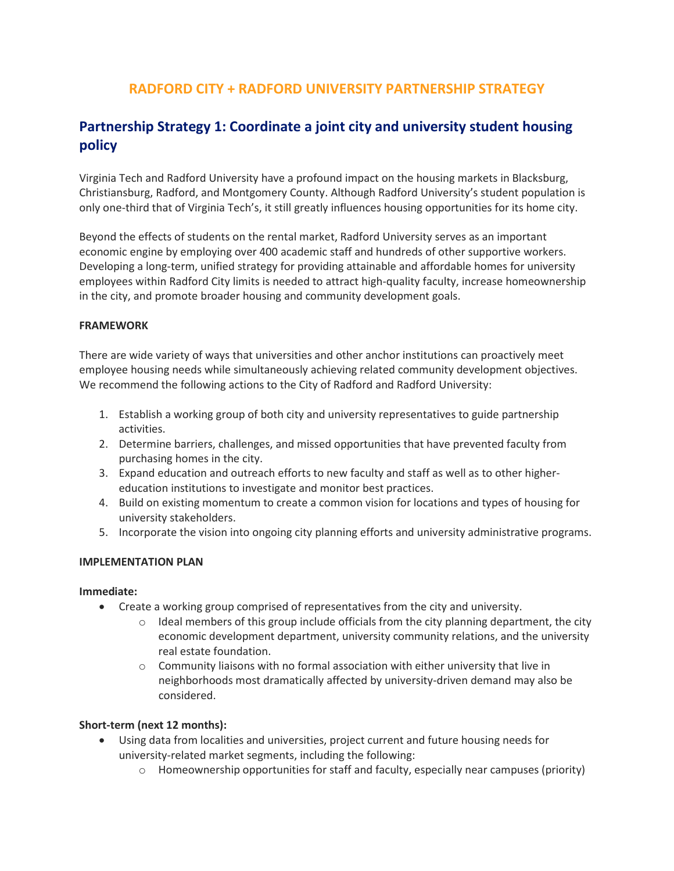## **RADFORD CITY + RADFORD UNIVERSITY PARTNERSHIP STRATEGY**

# **Partnership Strategy 1: Coordinate a joint city and university student housing policy**

Virginia Tech and Radford University have a profound impact on the housing markets in Blacksburg, Christiansburg, Radford, and Montgomery County. Although Radford University's student population is only one-third that of Virginia Tech's, it still greatly influences housing opportunities for its home city.

Beyond the effects of students on the rental market, Radford University serves as an important economic engine by employing over 400 academic staff and hundreds of other supportive workers. Developing a long-term, unified strategy for providing attainable and affordable homes for university employees within Radford City limits is needed to attract high-quality faculty, increase homeownership in the city, and promote broader housing and community development goals.

## **FRAMEWORK**

There are wide variety of ways that universities and other anchor institutions can proactively meet employee housing needs while simultaneously achieving related community development objectives. We recommend the following actions to the City of Radford and Radford University:

- 1. Establish a working group of both city and university representatives to guide partnership activities.
- 2. Determine barriers, challenges, and missed opportunities that have prevented faculty from purchasing homes in the city.
- 3. Expand education and outreach efforts to new faculty and staff as well as to other highereducation institutions to investigate and monitor best practices.
- 4. Build on existing momentum to create a common vision for locations and types of housing for university stakeholders.
- 5. Incorporate the vision into ongoing city planning efforts and university administrative programs.

## **IMPLEMENTATION PLAN**

## **Immediate:**

- Create a working group comprised of representatives from the city and university.
	- $\circ$  Ideal members of this group include officials from the city planning department, the city economic development department, university community relations, and the university real estate foundation.
	- o Community liaisons with no formal association with either university that live in neighborhoods most dramatically affected by university-driven demand may also be considered.

## **Short-term (next 12 months):**

- Using data from localities and universities, project current and future housing needs for university-related market segments, including the following:
	- $\circ$  Homeownership opportunities for staff and faculty, especially near campuses (priority)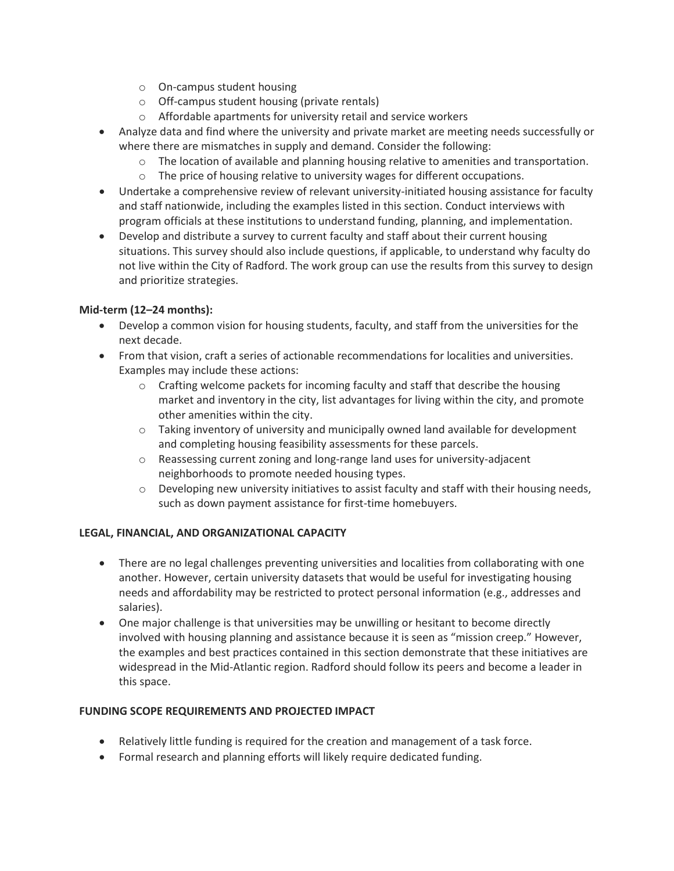- o On-campus student housing
- o Off-campus student housing (private rentals)
- o Affordable apartments for university retail and service workers
- Analyze data and find where the university and private market are meeting needs successfully or where there are mismatches in supply and demand. Consider the following:
	- o The location of available and planning housing relative to amenities and transportation.
	- o The price of housing relative to university wages for different occupations.
- Undertake a comprehensive review of relevant university-initiated housing assistance for faculty and staff nationwide, including the examples listed in this section. Conduct interviews with program officials at these institutions to understand funding, planning, and implementation.
- Develop and distribute a survey to current faculty and staff about their current housing situations. This survey should also include questions, if applicable, to understand why faculty do not live within the City of Radford. The work group can use the results from this survey to design and prioritize strategies.

## **Mid-term (12–24 months):**

- Develop a common vision for housing students, faculty, and staff from the universities for the next decade.
- From that vision, craft a series of actionable recommendations for localities and universities. Examples may include these actions:
	- $\circ$  Crafting welcome packets for incoming faculty and staff that describe the housing market and inventory in the city, list advantages for living within the city, and promote other amenities within the city.
	- $\circ$  Taking inventory of university and municipally owned land available for development and completing housing feasibility assessments for these parcels.
	- o Reassessing current zoning and long-range land uses for university-adjacent neighborhoods to promote needed housing types.
	- $\circ$  Developing new university initiatives to assist faculty and staff with their housing needs, such as down payment assistance for first-time homebuyers.

## **LEGAL, FINANCIAL, AND ORGANIZATIONAL CAPACITY**

- There are no legal challenges preventing universities and localities from collaborating with one another. However, certain university datasets that would be useful for investigating housing needs and affordability may be restricted to protect personal information (e.g., addresses and salaries).
- One major challenge is that universities may be unwilling or hesitant to become directly involved with housing planning and assistance because it is seen as "mission creep." However, the examples and best practices contained in this section demonstrate that these initiatives are widespread in the Mid-Atlantic region. Radford should follow its peers and become a leader in this space.

## **FUNDING SCOPE REQUIREMENTS AND PROJECTED IMPACT**

- Relatively little funding is required for the creation and management of a task force.
- Formal research and planning efforts will likely require dedicated funding.